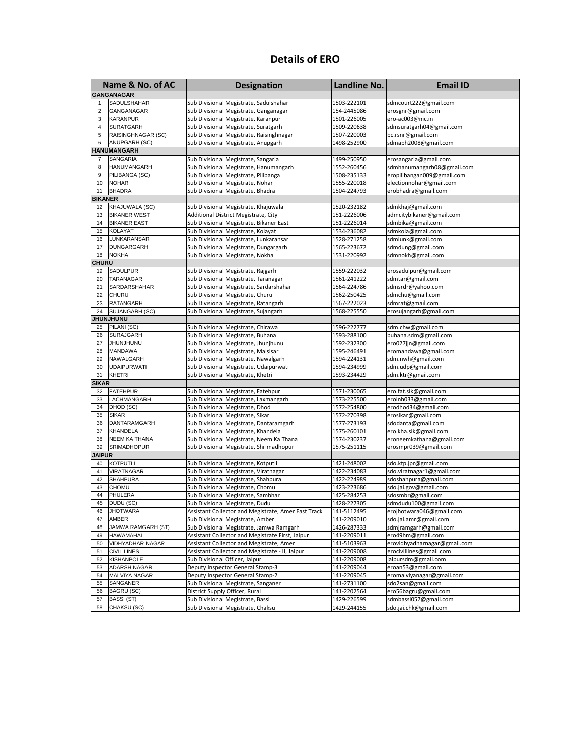## **Details of ERO**

| Name & No. of AC  |                                   | <b>Designation</b>                                                          | <b>Landline No.</b>        | <b>Email ID</b>                                |
|-------------------|-----------------------------------|-----------------------------------------------------------------------------|----------------------------|------------------------------------------------|
| <b>GANGANAGAR</b> |                                   |                                                                             |                            |                                                |
| $\mathbf{1}$      | SADULSHAHAR                       | Sub Divisional Megistrate, Sadulshahar                                      | 1503-222101                | sdmcourt222@gmail.com                          |
| $\overline{2}$    | GANGANAGAR                        | Sub Divisional Megistrate, Ganganagar                                       | 154-2445086                | erosgnr@gmail.com                              |
| 3                 | <b>KARANPUR</b>                   | Sub Divisional Megistrate, Karanpur                                         | 1501-226005                | ero-ac003@nic.in                               |
| $\overline{4}$    | <b>SURATGARH</b>                  | Sub Divisional Megistrate, Suratgarh                                        | 1509-220638                | sdmsuratgarh04@gmail.com                       |
| 5                 | RAISINGHNAGAR (SC)                | Sub Divisional Megistrate, Raisinghnagar                                    | 1507-220003                | bc.rsnr@gmail.com                              |
| 6                 | ANUPGARH (SC)                     | Sub Divisional Megistrate, Anupgarh                                         | 1498-252900                | sdmaph2008@gmail.com                           |
|                   | <b>IANUMANGARH</b>                |                                                                             |                            |                                                |
| 7                 | SANGARIA                          | Sub Divisional Megistrate, Sangaria                                         | 1499-250950                | erosangaria@gmail.com                          |
| 8                 | HANUMANGARH                       | Sub Divisional Megistrate, Hanumangarh                                      | 1552-260456                | sdmhanumangarh08@gmail.com                     |
| 9                 | PILIBANGA (SC)                    | Sub Divisional Megistrate, Pilibanga                                        | 1508-235133                | eropilibangan009@gmail.com                     |
| 10                | <b>NOHAR</b>                      | Sub Divisional Megistrate, Nohar                                            | 1555-220018                | electionnohar@gmail.com                        |
| 11                | <b>BHADRA</b>                     | Sub Divisional Megistrate, Bhadra                                           | 1504-224793                | erobhadra@gmail.com                            |
| <b>BIKANER</b>    |                                   |                                                                             |                            |                                                |
| 12                | KHAJUWALA (SC)                    | Sub Divisional Megistrate, Khajuwala                                        | 1520-232182                | sdmkhaj@gmail.com                              |
| 13                | <b>BIKANER WEST</b>               | Additional District Megistrate, City                                        | 151-2226006                | admcitybikaner@gmail.com                       |
| 14                | <b>BIKANER EAST</b>               | Sub Divisional Megistrate, Bikaner East                                     | 151-2226014                | sdmbika@gmail.com                              |
| 15                | <b>KOLAYAT</b>                    | Sub Divisional Megistrate, Kolayat                                          | 1534-236082                | sdmkola@gmail.com                              |
| 16                | LUNKARANSAR                       | Sub Divisional Megistrate, Lunkaransar                                      | 1528-271258                | sdmlunk@gmail.com                              |
| 17<br>18          | <b>DUNGARGARH</b><br><b>NOKHA</b> | Sub Divisional Megistrate, Dungargarh                                       | 1565-223672                | sdmdung@gmail.com                              |
| <b>CHURU</b>      |                                   | Sub Divisional Megistrate, Nokha                                            | 1531-220992                | sdmnokh@gmail.com                              |
| 19                | SADULPUR                          | Sub Divisional Megistrate, Rajgarh                                          | 1559-222032                | erosadulpur@gmail.com                          |
| 20                | TARANAGAR                         | Sub Divisional Megistrate, Taranagar                                        | 1561-241222                | sdmtar@gmail.com                               |
| 21                | SARDARSHAHAR                      | Sub Divisional Megistrate, Sardarshahar                                     | 1564-224786                | sdmsrdr@yahoo.com                              |
| 22                | <b>CHURU</b>                      | Sub Divisional Megistrate, Churu                                            | 1562-250425                | sdmchu@gmail.com                               |
| 23                | <b>RATANGARH</b>                  | Sub Divisional Megistrate, Ratangarh                                        | 1567-222023                | sdmrat@gmail.com                               |
| 24                | SUJANGARH (SC)                    | Sub Divisional Megistrate, Sujangarh                                        | 1568-225550                | erosujangarh@gmail.com                         |
|                   | UNUHLNUHI                         |                                                                             |                            |                                                |
| 25                | PILANI (SC)                       | Sub Divisional Megistrate, Chirawa                                          | 1596-222777                | sdm.chw@gmail.com                              |
| 26                | <b>SURAJGARH</b>                  | Sub Divisional Megistrate, Buhana                                           | 1593-288100                | buhana.sdm@gmail.com                           |
| 27                | <b>JHUNJHUNU</b>                  | Sub Divisional Megistrate, Jhunjhunu                                        | 1592-232300                | ero027jjn@gmail.com                            |
| 28                | <b>MANDAWA</b>                    | Sub Divisional Megistrate, Malsisar                                         | 1595-246491                | eromandawa@gmail.com                           |
| 29                | NAWALGARH                         | Sub Divisional Megistrate, Nawalgarh                                        | 1594-224131                | sdm.nwh@gmail.com                              |
| 30                | <b>UDAIPURWATI</b>                | Sub Divisional Megistrate, Udaipurwati                                      | 1594-234999                | sdm.udp@gmail.com                              |
| 31                | <b>KHETRI</b>                     | Sub Divisional Megistrate, Khetri                                           | 1593-234429                | sdm.ktr@gmail.com                              |
| SIKAR             |                                   |                                                                             |                            |                                                |
| 32                | <b>FATEHPUR</b>                   | Sub Divisional Megistrate, Fatehpur                                         | 1571-230065                | ero.fat.sik@gmail.com                          |
| 33                | LACHMANGARH                       | Sub Divisional Megistrate, Laxmangarh                                       | 1573-225500                | eroInh033@gmail.com                            |
| 34                | DHOD (SC)<br><b>SIKAR</b>         | Sub Divisional Megistrate, Dhod                                             | 1572-254800                | erodhod34@gmail.com                            |
| 35<br>36          | DANTARAMGARH                      | Sub Divisional Megistrate, Sikar<br>Sub Divisional Megistrate, Dantaramgarh | 1572-270398<br>1577-273193 | erosikar@gmail.com<br>sdodanta@gmail.com       |
| 37                | <b>KHANDELA</b>                   | Sub Divisional Megistrate, Khandela                                         | 1575-260101                | ero.kha.sik@gmail.com                          |
| 38                | <b>NEEM KA THANA</b>              | Sub Divisional Megistrate, Neem Ka Thana                                    | 1574-230237                | eroneemkathana@gmail.com                       |
| 39                | SRIMADHOPUR                       | Sub Divisional Megistrate, Shrimadhopur                                     | 1575-251115                | erosmpr039@gmail.com                           |
| <b>JAIPUR</b>     |                                   |                                                                             |                            |                                                |
| 40                | <b>KOTPUTLI</b>                   | Sub Divisional Megistrate, Kotputli                                         | 1421-248002                | sdo.ktp.jpr@gmail.com                          |
| 41                | VIRATNAGAR                        | Sub Divisional Megistrate, Viratnagar                                       | 1422-234083                | sdo.viratnagar1@gmail.com                      |
| 42                | <b>SHAHPURA</b>                   | Sub Divisional Megistrate, Shahpura                                         | 1422-224989                | sdoshahpura@gmail.com                          |
| 43                | <b>CHOMU</b>                      | Sub Divisional Megistrate, Chomu                                            | 1423-223686                | sdo.jai.gov@gmail.com                          |
| 44                | <b>PHULERA</b>                    | Sub Divisional Megistrate, Sambhar                                          | 1425-284253                | sdosmbr@gmail.com                              |
| 45                | DUDU (SC)                         | Sub Divisional Megistrate, Dudu                                             | 1428-227305                | sdmdudu100@gmail.com                           |
| 46                | <b>JHOTWARA</b>                   | Assistant Collector and Megistrate, Amer Fast Track                         | 141-5112495                | erojhotwara046@gmail.com                       |
| 47                | AMBER                             | Sub Divisional Megistrate, Amber                                            | 141-2209010                | sdo.jai.amr@gmail.com                          |
| 48                | JAMWA RAMGARH (ST)                | Sub Divisional Megistrate, Jamwa Ramgarh                                    | 1426-287333                | sdmjramgarh@gmail.com                          |
| 49                | <b>HAWAMAHAL</b>                  | Assistant Collector and Megistrate First, Jaipur                            | 141-2209011                | ero49hm@gmail.com                              |
| 50                | VIDHYADHAR NAGAR                  | Assistant Collector and Megistrate, Amer                                    | 141-5103963                | erovidhyadharnagar@gmail.com                   |
| 51                | <b>CIVIL LINES</b>                | Assistant Collector and Megistrate - II, Jaipur                             | 141-2209008                | erocivillines@gmail.com                        |
| 52                | <b>KISHANPOLE</b>                 | Sub Divisional Officer, Jaipur                                              | 141-2209008                | jaipursdm@gmail.com                            |
| 53                | ADARSH NAGAR                      | Deputy Inspector General Stamp-3                                            | 141-2209044                | eroan53@gmail.com                              |
| 54<br>55          | MALVIYA NAGAR                     | Deputy Inspector General Stamp-2                                            | 141-2209045                | eromalviyanagar@gmail.com<br>sdo2san@gmail.com |
| 56                | SANGANER<br><b>BAGRU (SC)</b>     | Sub Divisional Megistrate, Sanganer<br>District Supply Officer, Rural       | 141-2731100<br>141-2202564 | ero56bagru@gmail.com                           |
| 57                | BASSI (ST)                        | Sub Divisional Megistrate, Bassi                                            | 1429-226599                | sdmbassi057@gmail.com                          |
| 58                | CHAKSU (SC)                       | Sub Divisional Megistrate, Chaksu                                           | 1429-244155                | sdo.jai.chk@gmail.com                          |
|                   |                                   |                                                                             |                            |                                                |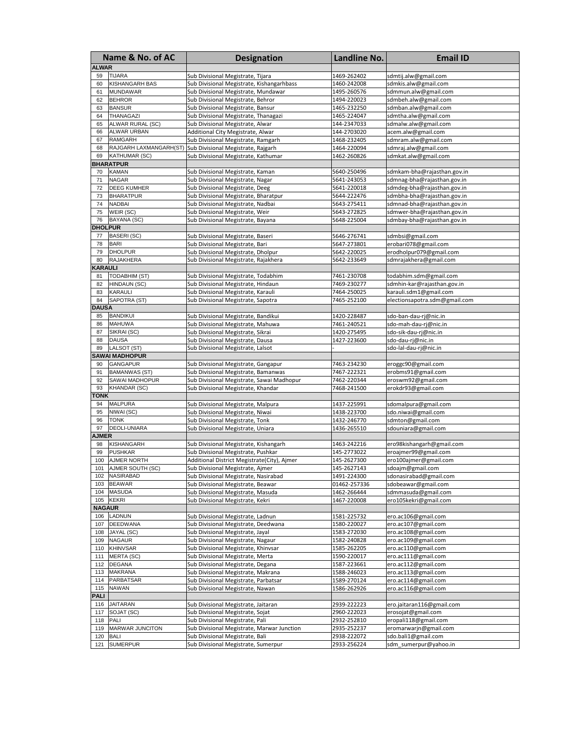| Name & No. of AC |                                   | <b>Designation</b>                                                      | <b>Landline No.</b>        | <b>Email ID</b>                                            |
|------------------|-----------------------------------|-------------------------------------------------------------------------|----------------------------|------------------------------------------------------------|
| <b>ALWAR</b>     |                                   |                                                                         |                            |                                                            |
| 59               | <b>TIJARA</b>                     | Sub Divisional Megistrate, Tijara                                       | 1469-262402                | sdmtij.alw@gmail.com                                       |
| 60               | <b>KISHANGARH BAS</b>             | Sub Divisional Megistrate, Kishangarhbass                               | 1460-242008                | sdmkis.alw@gmail.com                                       |
| 61               | <b>MUNDAWAR</b>                   | Sub Divisional Megistrate, Mundawar                                     | 1495-260576                | sdmmun.alw@gmail.com                                       |
| 62               | <b>BEHROR</b>                     | Sub Divisional Megistrate, Behror                                       | 1494-220023                | sdmbeh.alw@gmail.com                                       |
| 63               | <b>BANSUR</b>                     | Sub Divisional Megistrate, Bansur                                       | 1465-232250                | sdmban.alw@gmail.com                                       |
| 64               | THANAGAZI                         | Sub Divisional Megistrate, Thanagazi                                    | 1465-224047                | sdmtha.alw@gmail.com                                       |
| 65               | ALWAR RURAL (SC)                  | Sub Divisional Megistrate, Alwar                                        | 144-2347033                | sdmalw.alw@gmail.com                                       |
| 66               | ALWAR URBAN                       | Additional City Megistrate, Alwar                                       | 144-2703020                | acem.alw@gmail.com                                         |
| 67               | <b>RAMGARH</b>                    | Sub Divisional Megistrate, Ramgarh                                      | 1468-232405                | sdmram.alw@gmail.com                                       |
| 68               | RAJGARH LAXMANGARH(ST)            | Sub Divisional Megistrate, Rajgarh                                      | 1464-220094                | sdmraj.alw@gmail.com                                       |
| 69               | <b>KATHUMAR (SC)</b>              | Sub Divisional Megistrate, Kathumar                                     | 1462-260826                | sdmkat.alw@gmail.com                                       |
|                  | <b>BHARATPUR</b>                  |                                                                         |                            |                                                            |
| 70               | <b>KAMAN</b>                      | Sub Divisional Megistrate, Kaman                                        | 5640-250496                | sdmkam-bha@rajasthan.gov.in                                |
| 71               | <b>NAGAR</b>                      | Sub Divisional Megistrate, Nagar                                        | 5641-243053                | sdmnag-bha@rajasthan.gov.in                                |
| 72               | <b>DEEG KUMHER</b>                | Sub Divisional Megistrate, Deeg                                         | 5641-220018                | sdmdeg-bha@rajasthan.gov.in                                |
| 73<br>74         | <b>BHARATPUR</b><br><b>NADBAI</b> | Sub Divisional Megistrate, Bharatpur                                    | 5644-222476<br>5643-275411 | sdmbha-bha@rajasthan.gov.in                                |
| 75               | WEIR (SC)                         | Sub Divisional Megistrate, Nadbai<br>Sub Divisional Megistrate, Weir    | 5643-272825                | sdmnad-bha@rajasthan.gov.in<br>sdmwer-bha@rajasthan.gov.in |
| 76               | BAYANA (SC)                       | Sub Divisional Megistrate, Bayana                                       | 5648-225004                | sdmbay-bha@rajasthan.gov.in                                |
| <b>DHOLPUR</b>   |                                   |                                                                         |                            |                                                            |
| 77               | BASERI (SC)                       | Sub Divisional Megistrate, Baseri                                       | 5646-276741                | sdmbsi@gmail.com                                           |
| 78               | <b>BARI</b>                       | Sub Divisional Megistrate, Bari                                         | 5647-273801                | erobari078@gmail.com                                       |
| 79               | <b>DHOLPUR</b>                    | Sub Divisional Megistrate, Dholpur                                      | 5642-220025                | erodholpur079@gmail.com                                    |
| 80               | <b>RAJAKHERA</b>                  | Sub Divisional Megistrate, Rajakhera                                    | 5642-233649                | sdmrajakhera@gmail.com                                     |
| KARAULI          |                                   |                                                                         |                            |                                                            |
| 81               | <b>TODABHIM (ST)</b>              | Sub Divisional Megistrate, Todabhim                                     | 7461-230708                | todabhim.sdm@gmail.com                                     |
| 82               | HINDAUN (SC)                      | Sub Divisional Megistrate, Hindaun                                      | 7469-230277                | sdmhin-kar@rajasthan.gov.in                                |
| 83               | <b>KARAULI</b>                    | Sub Divisional Megistrate, Karauli                                      | 7464-250025                | karauli.sdm1@gmail.com                                     |
| 84               | SAPOTRA (ST)                      | Sub Divisional Megistrate, Sapotra                                      | 7465-252100                | electionsapotra.sdm@gmail.com                              |
| <b>DAUSA</b>     |                                   |                                                                         |                            |                                                            |
| 85               | <b>BANDIKUI</b>                   | Sub Divisional Megistrate, Bandikui                                     | 1420-228487                | sdo-ban-dau-ri@nic.in                                      |
| 86               | <b>MAHUWA</b>                     | Sub Divisional Megistrate, Mahuwa                                       | 7461-240521                | sdo-mah-dau-rj@nic.in                                      |
| 87               | SIKRAI (SC)                       | Sub Divisional Megistrate, Sikrai                                       | 1420-275495                | sdo-sik-dau-rj@nic.in                                      |
| 88               | <b>DAUSA</b>                      | Sub Divisional Megistrate, Dausa                                        | 1427-223600                | sdo-dau-rj@nic.in                                          |
| 89               | LALSOT (ST)                       | Sub Divisional Megistrate, Lalsot                                       |                            | sdo-lal-dau-rj@nic.in                                      |
|                  | <b>SAWAI MADHOPUR</b>             |                                                                         |                            |                                                            |
| 90               | <b>GANGAPUR</b>                   | Sub Divisional Megistrate, Gangapur                                     | 7463-234230                | eroggc90@gmail.com                                         |
| 91               | <b>BAMANWAS (ST)</b>              | Sub Divisional Megistrate, Bamanwas                                     | 7467-222321                | erobms91@gmail.com                                         |
| 92               | SAWAI MADHOPUR                    | Sub Divisional Megistrate, Sawai Madhopur                               | 7462-220344                | eroswm92@gmail.com                                         |
| 93<br>τοΝΚ       | <b>KHANDAR (SC)</b>               | Sub Divisional Megistrate, Khandar                                      | 7468-241500                | erokdr93@gmail.com                                         |
| 94               | <b>MALPURA</b>                    | Sub Divisional Megistrate, Malpura                                      | 1437-225991                |                                                            |
| 95               | NIWAI (SC)                        | Sub Divisional Megistrate, Niwai                                        | 1438-223700                | sdomalpura@gmail.com<br>sdo.niwai@gmail.com                |
| 96               | <b>TONK</b>                       | Sub Divisional Megistrate, Tonk                                         | 1432-246770                | sdmton@gmail.com                                           |
| 97               | <b>DEOLI-UNIARA</b>               | Sub Divisional Megistrate, Uniara                                       | 1436-265510                | sdouniara@gmail.com                                        |
| <b>AJMER</b>     |                                   |                                                                         |                            |                                                            |
| 98               | <b>KISHANGARH</b>                 | Sub Divisional Megistrate, Kishangarh                                   | 1463-242216                | ero98kishangarh@gmail.com                                  |
| 99               | <b>PUSHKAR</b>                    | Sub Divisional Megistrate, Pushkar                                      | 145-2773022                | eroajmer99@gmail.com                                       |
| 100              | AJMER NORTH                       | Additional District Megistrate(City), Ajmer                             | 145-2627300                | ero100ajmer@gmail.com                                      |
| 101              | AJMER SOUTH (SC)                  | Sub Divisional Megistrate, Ajmer                                        | 145-2627143                | sdoajm@gmail.com                                           |
|                  | 102 NASIRABAD                     | Sub Divisional Megistrate, Nasirabad                                    | 1491-224300                | sdonasirabad@gmail.com                                     |
| 103              | <b>BEAWAR</b>                     | Sub Divisional Megistrate, Beawar                                       | 01462-257336               | sdobeawar@gmail.com                                        |
| 104              | <b>MASUDA</b>                     | Sub Divisional Megistrate, Masuda                                       | 1462-266444                | sdmmasuda@gmail.com                                        |
| 105              | <b>KEKRI</b>                      | Sub Divisional Megistrate, Kekri                                        | 1467-220008                | ero105kekri@gmail.com                                      |
| <b>NAGAUR</b>    |                                   |                                                                         |                            |                                                            |
| 106              | LADNUN                            | Sub Divisional Megistrate, Ladnun                                       | 1581-225732                | ero.ac106@gmail.com                                        |
| 107              | <b>DEEDWANA</b>                   | Sub Divisional Megistrate, Deedwana                                     | 1580-220027                | ero.ac107@gmail.com                                        |
| 108              | JAYAL (SC)                        | Sub Divisional Megistrate, Jayal                                        | 1583-272030                | ero.ac108@gmail.com                                        |
| 109              | <b>NAGAUR</b>                     | Sub Divisional Megistrate, Nagaur                                       | 1582-240828                | ero.ac109@gmail.com                                        |
| 110              | <b>KHINVSAR</b>                   | Sub Divisional Megistrate, Khinvsar                                     | 1585-262205                | ero.ac110@gmail.com                                        |
| 111              | <b>MERTA (SC)</b>                 | Sub Divisional Megistrate, Merta                                        | 1590-220017                | ero.ac111@gmail.com                                        |
| 112              | <b>DEGANA</b>                     | Sub Divisional Megistrate, Degana                                       | 1587-223661                | ero.ac112@gmail.com                                        |
| 113              | <b>MAKRANA</b>                    | Sub Divisional Megistrate, Makrana                                      | 1588-246023                | ero.ac113@gmail.com                                        |
| 114              | <b>PARBATSAR</b>                  | Sub Divisional Megistrate, Parbatsar                                    | 1589-270124                | ero.ac114@gmail.com                                        |
| 115<br>PALI      | <b>NAWAN</b>                      | Sub Divisional Megistrate, Nawan                                        | 1586-262926                | ero.ac116@gmail.com                                        |
| 116              | <b>JAITARAN</b>                   |                                                                         |                            | ero.jaitaran116@gmail.com                                  |
| 117              | SOJAT (SC)                        | Sub Divisional Megistrate, Jaitaran<br>Sub Divisional Megistrate, Sojat | 2939-222223<br>2960-222023 | erosojat@gmail.com                                         |
| 118              | PALI                              | Sub Divisional Megistrate, Pali                                         | 2932-252810                | eropali118@gmail.com                                       |
| 119              | <b>MARWAR JUNCITON</b>            | Sub Divisional Megistrate, Marwar Junction                              | 2935-252237                | eromarwarjn@gmail.com                                      |
| 120              | <b>BALI</b>                       | Sub Divisional Megistrate, Bali                                         | 2938-222072                | sdo.bali1@gmail.com                                        |
| 121              | <b>SUMERPUR</b>                   | Sub Divisional Megistrate, Sumerpur                                     | 2933-256224                | sdm_sumerpur@yahoo.in                                      |
|                  |                                   |                                                                         |                            |                                                            |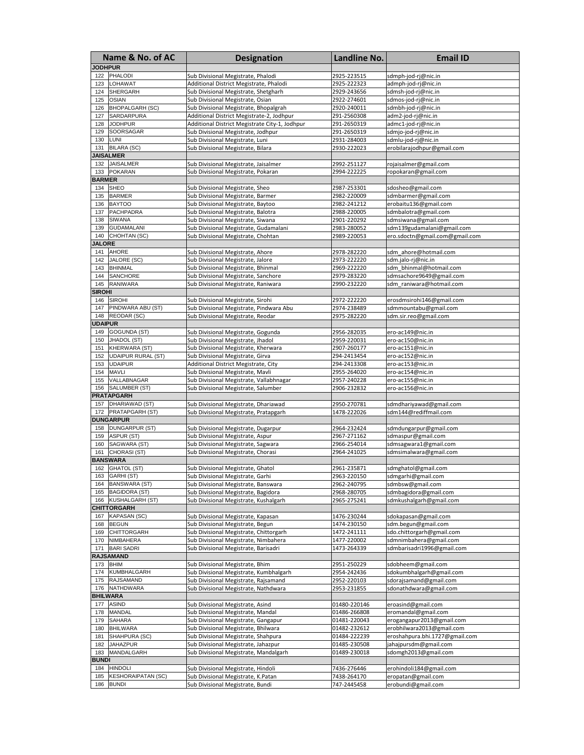| Name & No. of AC |                                 | <b>Designation</b>                                                         | Landline No.               | <b>Email ID</b>                                   |
|------------------|---------------------------------|----------------------------------------------------------------------------|----------------------------|---------------------------------------------------|
| <b>JODHPUR</b>   |                                 |                                                                            |                            |                                                   |
| 122              | <b>PHALODI</b>                  | Sub Divisional Megistrate, Phalodi                                         | 2925-223515                | sdmph-jod-rj@nic.in                               |
| 123              | LOHAWAT                         | Additional District Megistrate, Phalodi                                    | 2925-222323                | admph-jod-rj@nic.in                               |
| 124              | <b>SHERGARH</b>                 | Sub Divisional Megistrate, Shetgharh                                       | 2929-243656                | sdmsh-jod-rj@nic.in                               |
| 125              | <b>OSIAN</b>                    | Sub Divisional Megistrate, Osian                                           | 2922-274601                | sdmos-jod-rj@nic.in                               |
| 126              | <b>BHOPALGARH (SC)</b>          | Sub Divisional Megistrate, Bhopalgrah                                      | 2920-240011                | sdmbh-jod-rj@nic.in                               |
| 127              | SARDARPURA                      | Additional District Megistrate-2, Jodhpur                                  | 291-2560308                | adm2-jod-rj@nic.in                                |
| 128              | <b>JODHPUR</b>                  | Additional District Megistrate City-1, Jodhpur                             | 291-2650319                | admc1-jod-rj@nic.in                               |
| 129              | SOORSAGAR                       | Sub Divisional Megistrate, Jodhpur                                         | 291-2650319                | sdmjo-jod-rj@nic.in                               |
| 130              | LUNI                            | Sub Divisional Megistrate, Luni                                            | 2931-284003                | sdmlu-jod-rj@nic.in                               |
| 131              | <b>BILARA (SC)</b>              | Sub Divisional Megistrate, Bilara                                          | 2930-222023                | erobilarajodhpur@gmail.com                        |
|                  | <b>JAISALMER</b>                |                                                                            |                            |                                                   |
| 132              | <b>JAISALMER</b>                | Sub Divisional Megistrate, Jaisalmer                                       | 2992-251127                | rojaisalmer@gmail.com                             |
| 133              | <b>POKARAN</b>                  | Sub Divisional Megistrate, Pokaran                                         | 2994-222225                | ropokaran@gmail.com                               |
| <b>BARMER</b>    |                                 |                                                                            |                            |                                                   |
| 134              | <b>SHEO</b>                     | Sub Divisional Megistrate, Sheo                                            | 2987-253301                | sdosheo@gmail.com                                 |
| 135              | <b>BARMER</b>                   | Sub Divisional Megistrate, Barmer                                          | 2982-220009                | sdmbarmer@gmail.com                               |
| 136<br>137       | <b>BAYTOO</b><br>PACHPADRA      | Sub Divisional Megistrate, Baytoo                                          | 2982-241212                | erobaitu136@gmail.com                             |
| 138              | <b>SIWANA</b>                   | Sub Divisional Megistrate, Balotra                                         | 2988-220005                | sdmbalotra@gmail.com                              |
| 139              | <b>GUDAMALANI</b>               | Sub Divisional Megistrate, Siwana<br>Sub Divisional Megistrate, Gudamalani | 2901-220292<br>2983-280052 | sdmsiwana@gmail.com<br>sdm139gudamalani@gmail.com |
| 140              | CHOHTAN (SC)                    | Sub Divisional Megistrate, Chohtan                                         | 2989-220053                | ero.sdoctn@gmail.com@gmail.com                    |
| <b>JALORE</b>    |                                 |                                                                            |                            |                                                   |
| 141              | <b>AHORE</b>                    | Sub Divisional Megistrate, Ahore                                           | 2978-282220                | sdm_ahore@hotmail.com                             |
| 142              | JALORE (SC)                     | Sub Divisional Megistrate, Jalore                                          | 2973-222220                | sdm.jalo-rj@nic.in                                |
| 143              | <b>BHINMAL</b>                  | Sub Divisional Megistrate, Bhinmal                                         | 2969-222220                | sdm bhinmal@hotmail.com                           |
| 144              | SANCHORE                        | Sub Divisional Megistrate, Sanchore                                        | 2979-283220                | sdmsachore9649@gmail.com                          |
| 145              | <b>RANIWARA</b>                 | Sub Divisional Megistrate, Raniwara                                        | 2990-232220                | sdm raniwara@hotmail.com                          |
| <b>SIROHI</b>    |                                 |                                                                            |                            |                                                   |
| 146              | <b>SIROHI</b>                   | Sub Divisional Megistrate, Sirohi                                          | 2972-222220                | erosdmsirohi146@gmail.com                         |
| 147              | PINDWARA ABU (ST)               | Sub Divisional Megistrate, Pindwara Abu                                    | 2974-238489                | sdmmountabu@gmail.com                             |
| 148              | REODAR (SC)                     | Sub Divisional Megistrate, Reodar                                          | 2975-282220                | sdm.sir.reo@gmail.com                             |
| <b>JDAIPUR</b>   |                                 |                                                                            |                            |                                                   |
| 149              | GOGUNDA (ST)                    | Sub Divisional Megistrate, Gogunda                                         | 2956-282035                | ero-ac149@nic.in                                  |
| 150              | JHADOL (ST)                     | Sub Divisional Megistrate, Jhadol                                          | 2959-220031                | ero-ac150@nic.in                                  |
| 151              | KHERWARA (ST)                   | Sub Divisional Megistrate, Kherwara                                        | 2907-260177                | ero-ac151@nic.in                                  |
| 152              | <b>UDAIPUR RURAL (ST)</b>       | Sub Divisional Megistrate, Girva                                           | 294-2413454                | ero-ac152@nic.in                                  |
| 153              | <b>UDAIPUR</b>                  | Additional District Megistrate, City                                       | 294-2413308                | ero-ac153@nic.in                                  |
| 154              | <b>MAVLI</b>                    | Sub Divisional Megistrate, Mavli                                           | 2955-264020                | ero-ac154@nic.in                                  |
| 155              | VALLABNAGAR                     | Sub Divisional Megistrate, Vallabhnagar                                    | 2957-240228                | ero-ac155@nic.in                                  |
| 156              | SALUMBER (ST)                   | Sub Divisional Megistrate, Salumber                                        | 2906-232832                | ero-ac156@nic.in                                  |
|                  | <b>PRATAPGARH</b>               |                                                                            |                            |                                                   |
| 157              | DHARIAWAD (ST)                  | Sub Divisional Megistrate, Dhariawad                                       | 2950-270781                | sdmdhariyawad@gmail.com                           |
| 172              | PRATAPGARH (ST)                 | Sub Divisional Megistrate, Pratapgarh                                      | 1478-222026                | sdm144@rediffmail.com                             |
|                  | <b>DUNGARPUR</b>                |                                                                            |                            |                                                   |
| 158              | <b>DUNGARPUR (ST)</b>           | Sub Divisional Megistrate, Dugarpur                                        | 2964-232424                | sdmdungarpur@gmail.com                            |
| 159              | ASPUR (ST)                      | Sub Divisional Megistrate, Aspur                                           | 2967-271162                | sdmaspur@gmail.com                                |
| 160<br>161       | SAGWARA (ST)                    | Sub Divisional Megistrate, Sagwara                                         | 2966-254014                | sdmsagwara1@gmail.com                             |
|                  | CHORASI (ST)<br><b>BANSWARA</b> | Sub Divisional Megistrate, Chorasi                                         | 2964-241025                | sdmsimalwara@gmail.com                            |
|                  | 162 GHATOL (ST)                 | Sub Divisional Megistrate, Ghatol                                          | 2961-235871                | sdmghatol@gmail.com                               |
|                  | 163 GARHI (ST)                  | Sub Divisional Megistrate, Garhi                                           | 2963-220150                | sdmgarhi@gmail.com                                |
| 164              | <b>BANSWARA (ST)</b>            | Sub Divisional Megistrate, Banswara                                        | 2962-240795                | sdmbsw@gmail.com                                  |
| 165              | <b>BAGIDORA (ST)</b>            | Sub Divisional Megistrate, Bagidora                                        | 2968-280705                | sdmbagidora@gmail.com                             |
| 166              | <b>KUSHALGARH (ST)</b>          | Sub Divisional Megistrate, Kushalgarh                                      | 2965-275241                | sdmkushalgarh@gmail.com                           |
|                  | <b>CHITTORGARH</b>              |                                                                            |                            |                                                   |
| 167              | <b>KAPASAN (SC)</b>             | Sub Divisional Megistrate, Kapasan                                         | 1476-230244                | sdokapasan@gmail.com                              |
| 168              | <b>BEGUN</b>                    | Sub Divisional Megistrate, Begun                                           | 1474-230150                | sdm.begun@gmail.com                               |
| 169              | <b>CHITTORGARH</b>              | Sub Divisional Megistrate, Chittorgarh                                     | 1472-241111                | sdo.chittorgarh@gmail.com                         |
| 170              | NIMBAHERA                       | Sub Divisional Megistrate, Nimbahera                                       | 1477-220002                | sdmnimbahera@gmail.com                            |
| 171              | <b>BARI SADRI</b>               | Sub Divisional Megistrate, Barisadri                                       | 1473-264339                | sdmbarisadri1996@gmail.com                        |
|                  | <b>RAJSAMAND</b>                |                                                                            |                            |                                                   |
| 173              | <b>BHIM</b>                     | Sub Divisional Megistrate, Bhim                                            | 2951-250229                | sdobheem@gmail.com                                |
| 174              | KUMBHALGARH                     | Sub Divisional Megistrate, Kumbhalgarh                                     | 2954-242436                | sdokumbhalgarh@gmail.com                          |
| 175              | <b>RAJSAMAND</b>                | Sub Divisional Megistrate, Rajsamand                                       | 2952-220103                | sdorajsamand@gmail.com                            |
| 176              | NATHDWARA                       | Sub Divisional Megistrate, Nathdwara                                       | 2953-231855                | sdonathdwara@gmail.com                            |
| BHILWARA         |                                 |                                                                            |                            |                                                   |
| 177              | <b>ASIND</b>                    | Sub Divisional Megistrate, Asind                                           | 01480-220146               | eroasind@gmail.com                                |
| 178              | MANDAL                          | Sub Divisional Megistrate, Mandal                                          | 01486-266808               | eromandal@gmail.com                               |
| 179              | <b>SAHARA</b>                   | Sub Divisional Megistrate, Gangapur                                        | 01481-220043               | erogangapur2013@gmail.com                         |
| 180              | <b>BHILWARA</b>                 | Sub Divisional Megistrate, Bhilwara                                        | 01482-232612               | erobhilwara2013@gmail.com                         |
| 181              | SHAHPURA (SC)                   | Sub Divisional Megistrate, Shahpura                                        | 01484-222239               | eroshahpura.bhi.1727@gmail.com                    |
| 182              | <b>JAHAZPUR</b>                 | Sub Divisional Megistrate, Jahazpur                                        | 01485-230508               | ahajpursdm@gmail.com                              |
| 183              | MANDALGARH                      | Sub Divisional Megistrate, Mandalgarh                                      | 01489-230018               | sdomgh2013@gmail.com                              |
| bundi            |                                 |                                                                            |                            |                                                   |
| 184              | <b>HINDOLI</b>                  | Sub Divisional Megistrate, Hindoli                                         | 7436-276446                | erohindoli184@gmail.com                           |
| 185              | <b>KESHORAIPATAN (SC)</b>       | Sub Divisional Megistrate, K.Patan                                         | 7438-264170                | eropatan@gmail.com                                |
| 186              | <b>BUNDI</b>                    | Sub Divisional Megistrate, Bundi                                           | 747-2445458                | erobundi@gmail.com                                |